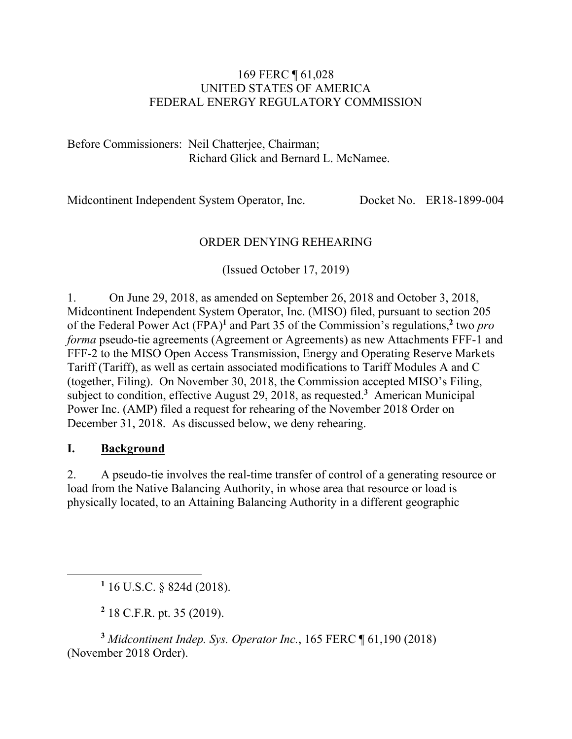#### 169 FERC ¶ 61,028 UNITED STATES OF AMERICA FEDERAL ENERGY REGULATORY COMMISSION

Before Commissioners: Neil Chatterjee, Chairman; Richard Glick and Bernard L. McNamee.

Midcontinent Independent System Operator, Inc. Docket No. ER18-1899-004

## ORDER DENYING REHEARING

(Issued October 17, 2019)

1. On June 29, 2018, as amended on September 26, 2018 and October 3, 2018, Midcontinent Independent System Operator, Inc. (MISO) filed, pursuant to section 205 of the Federal Power Act (FPA)**<sup>1</sup>** and Part 35 of the Commission's regulations,**<sup>2</sup>** two *pro forma* pseudo-tie agreements (Agreement or Agreements) as new Attachments FFF-1 and FFF-2 to the MISO Open Access Transmission, Energy and Operating Reserve Markets Tariff (Tariff), as well as certain associated modifications to Tariff Modules A and C (together, Filing). On November 30, 2018, the Commission accepted MISO's Filing, subject to condition, effective August 29, 2018, as requested.**<sup>3</sup>** American Municipal Power Inc. (AMP) filed a request for rehearing of the November 2018 Order on December 31, 2018. As discussed below, we deny rehearing.

#### **I. Background**

 $\overline{a}$ 

2. A pseudo-tie involves the real-time transfer of control of a generating resource or load from the Native Balancing Authority, in whose area that resource or load is physically located, to an Attaining Balancing Authority in a different geographic

**1** 16 U.S.C. § 824d (2018).

**2** 18 C.F.R. pt. 35 (2019).

**<sup>3</sup>** *Midcontinent Indep. Sys. Operator Inc.*, 165 FERC ¶ 61,190 (2018) (November 2018 Order).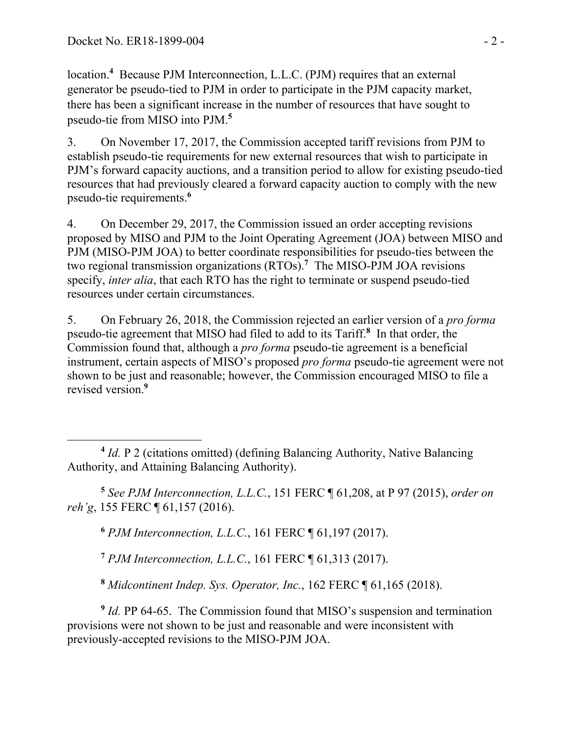location.**<sup>4</sup>** Because PJM Interconnection, L.L.C. (PJM) requires that an external generator be pseudo-tied to PJM in order to participate in the PJM capacity market, there has been a significant increase in the number of resources that have sought to pseudo-tie from MISO into PJM.**<sup>5</sup>**

3. On November 17, 2017, the Commission accepted tariff revisions from PJM to establish pseudo-tie requirements for new external resources that wish to participate in PJM's forward capacity auctions, and a transition period to allow for existing pseudo-tied resources that had previously cleared a forward capacity auction to comply with the new pseudo-tie requirements.**<sup>6</sup>**

4. On December 29, 2017, the Commission issued an order accepting revisions proposed by MISO and PJM to the Joint Operating Agreement (JOA) between MISO and PJM (MISO-PJM JOA) to better coordinate responsibilities for pseudo-ties between the two regional transmission organizations (RTOs).**<sup>7</sup>** The MISO-PJM JOA revisions specify, *inter alia*, that each RTO has the right to terminate or suspend pseudo-tied resources under certain circumstances.

5. On February 26, 2018, the Commission rejected an earlier version of a *pro forma* pseudo-tie agreement that MISO had filed to add to its Tariff.**<sup>8</sup>** In that order, the Commission found that, although a *pro forma* pseudo-tie agreement is a beneficial instrument, certain aspects of MISO's proposed *pro forma* pseudo-tie agreement were not shown to be just and reasonable; however, the Commission encouraged MISO to file a revised version.**<sup>9</sup>**

**<sup>5</sup>** *See PJM Interconnection, L.L.C.*, 151 FERC ¶ 61,208, at P 97 (2015), *order on reh'g*, 155 FERC ¶ 61,157 (2016).

**<sup>6</sup>** *PJM Interconnection, L.L.C.*, 161 FERC ¶ 61,197 (2017).

**<sup>7</sup>** *PJM Interconnection, L.L.C.*, 161 FERC ¶ 61,313 (2017).

**<sup>8</sup>** *Midcontinent Indep. Sys. Operator, Inc.*, 162 FERC ¶ 61,165 (2018).

**<sup>9</sup>** *Id.* PP 64-65. The Commission found that MISO's suspension and termination provisions were not shown to be just and reasonable and were inconsistent with previously-accepted revisions to the MISO-PJM JOA.

 $\overline{a}$ **<sup>4</sup>** *Id.* P 2 (citations omitted) (defining Balancing Authority, Native Balancing Authority, and Attaining Balancing Authority).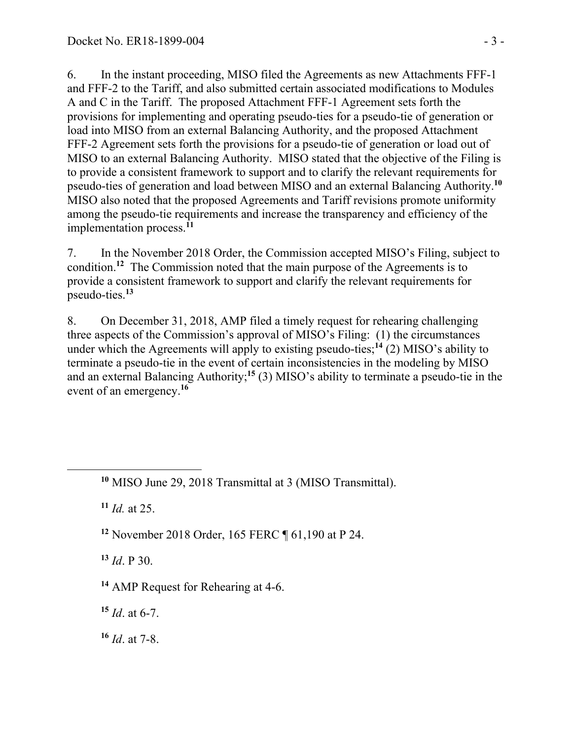6. In the instant proceeding, MISO filed the Agreements as new Attachments FFF-1 and FFF-2 to the Tariff, and also submitted certain associated modifications to Modules A and C in the Tariff. The proposed Attachment FFF-1 Agreement sets forth the provisions for implementing and operating pseudo-ties for a pseudo-tie of generation or load into MISO from an external Balancing Authority, and the proposed Attachment FFF-2 Agreement sets forth the provisions for a pseudo-tie of generation or load out of MISO to an external Balancing Authority. MISO stated that the objective of the Filing is to provide a consistent framework to support and to clarify the relevant requirements for pseudo-ties of generation and load between MISO and an external Balancing Authority.**<sup>10</sup>** MISO also noted that the proposed Agreements and Tariff revisions promote uniformity among the pseudo-tie requirements and increase the transparency and efficiency of the implementation process.**<sup>11</sup>**

7. In the November 2018 Order, the Commission accepted MISO's Filing, subject to condition.**<sup>12</sup>** The Commission noted that the main purpose of the Agreements is to provide a consistent framework to support and clarify the relevant requirements for pseudo-ties.**<sup>13</sup>**

8. On December 31, 2018, AMP filed a timely request for rehearing challenging three aspects of the Commission's approval of MISO's Filing: (1) the circumstances under which the Agreements will apply to existing pseudo-ties;<sup>14</sup> (2) MISO's ability to terminate a pseudo-tie in the event of certain inconsistencies in the modeling by MISO and an external Balancing Authority;**<sup>15</sup>** (3) MISO's ability to terminate a pseudo-tie in the event of an emergency.**<sup>16</sup>**

**<sup>11</sup>** *Id.* at 25.

 $\overline{a}$ 

**<sup>12</sup>** November 2018 Order, 165 FERC ¶ 61,190 at P 24.

**<sup>13</sup>** *Id*. P 30.

**<sup>14</sup>** AMP Request for Rehearing at 4-6.

**<sup>15</sup>** *Id*. at 6-7.

**<sup>16</sup>** *Id*. at 7-8.

**<sup>10</sup>** MISO June 29, 2018 Transmittal at 3 (MISO Transmittal).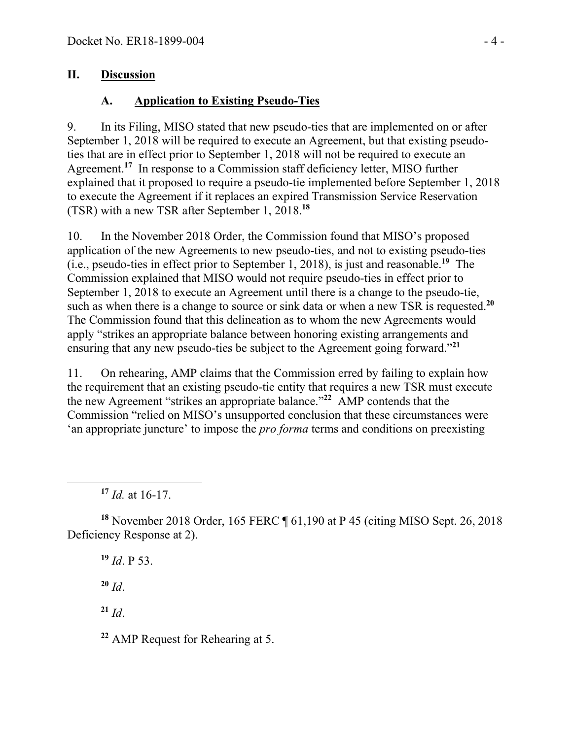### **II. Discussion**

## **A. Application to Existing Pseudo-Ties**

9. In its Filing, MISO stated that new pseudo-ties that are implemented on or after September 1, 2018 will be required to execute an Agreement, but that existing pseudoties that are in effect prior to September 1, 2018 will not be required to execute an Agreement.<sup>17</sup> In response to a Commission staff deficiency letter, MISO further explained that it proposed to require a pseudo-tie implemented before September 1, 2018 to execute the Agreement if it replaces an expired Transmission Service Reservation (TSR) with a new TSR after September 1, 2018.**<sup>18</sup>**

10. In the November 2018 Order, the Commission found that MISO's proposed application of the new Agreements to new pseudo-ties, and not to existing pseudo-ties (i.e., pseudo-ties in effect prior to September 1, 2018), is just and reasonable.**<sup>19</sup>** The Commission explained that MISO would not require pseudo-ties in effect prior to September 1, 2018 to execute an Agreement until there is a change to the pseudo-tie, such as when there is a change to source or sink data or when a new TSR is requested.**<sup>20</sup>** The Commission found that this delineation as to whom the new Agreements would apply "strikes an appropriate balance between honoring existing arrangements and ensuring that any new pseudo-ties be subject to the Agreement going forward."**<sup>21</sup>**

11. On rehearing, AMP claims that the Commission erred by failing to explain how the requirement that an existing pseudo-tie entity that requires a new TSR must execute the new Agreement "strikes an appropriate balance."**<sup>22</sup>** AMP contends that the Commission "relied on MISO's unsupported conclusion that these circumstances were 'an appropriate juncture' to impose the *pro forma* terms and conditions on preexisting

**<sup>17</sup>** *Id.* at 16-17.

**<sup>18</sup>** November 2018 Order, 165 FERC ¶ 61,190 at P 45 (citing MISO Sept. 26, 2018 Deficiency Response at 2).

**<sup>19</sup>** *Id*. P 53.

 $20$  *Id.* 

 $\overline{a}$ 

**<sup>21</sup>** *Id*.

**<sup>22</sup>** AMP Request for Rehearing at 5.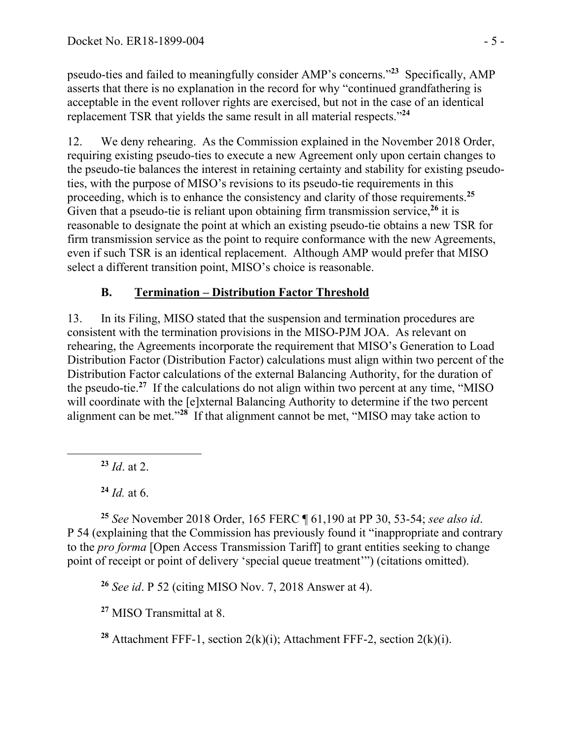pseudo-ties and failed to meaningfully consider AMP's concerns."**<sup>23</sup>** Specifically, AMP asserts that there is no explanation in the record for why "continued grandfathering is acceptable in the event rollover rights are exercised, but not in the case of an identical replacement TSR that yields the same result in all material respects."**<sup>24</sup>**

12. We deny rehearing. As the Commission explained in the November 2018 Order, requiring existing pseudo-ties to execute a new Agreement only upon certain changes to the pseudo-tie balances the interest in retaining certainty and stability for existing pseudoties, with the purpose of MISO's revisions to its pseudo-tie requirements in this proceeding, which is to enhance the consistency and clarity of those requirements.**<sup>25</sup>** Given that a pseudo-tie is reliant upon obtaining firm transmission service,**<sup>26</sup>** it is reasonable to designate the point at which an existing pseudo-tie obtains a new TSR for firm transmission service as the point to require conformance with the new Agreements, even if such TSR is an identical replacement. Although AMP would prefer that MISO select a different transition point, MISO's choice is reasonable.

# **B. Termination – Distribution Factor Threshold**

13. In its Filing, MISO stated that the suspension and termination procedures are consistent with the termination provisions in the MISO-PJM JOA. As relevant on rehearing, the Agreements incorporate the requirement that MISO's Generation to Load Distribution Factor (Distribution Factor) calculations must align within two percent of the Distribution Factor calculations of the external Balancing Authority, for the duration of the pseudo-tie.**<sup>27</sup>** If the calculations do not align within two percent at any time, "MISO will coordinate with the [e]xternal Balancing Authority to determine if the two percent alignment can be met."**<sup>28</sup>** If that alignment cannot be met, "MISO may take action to

**<sup>23</sup>** *Id*. at 2.

 $\overline{a}$ 

**<sup>24</sup>** *Id.* at 6.

**<sup>25</sup>** *See* November 2018 Order, 165 FERC ¶ 61,190 at PP 30, 53-54; *see also id*. P 54 (explaining that the Commission has previously found it "inappropriate and contrary to the *pro forma* [Open Access Transmission Tariff] to grant entities seeking to change point of receipt or point of delivery 'special queue treatment'") (citations omitted).

**<sup>26</sup>** *See id*. P 52 (citing MISO Nov. 7, 2018 Answer at 4).

**<sup>27</sup>** MISO Transmittal at 8.

**<sup>28</sup>** Attachment FFF-1, section 2(k)(i); Attachment FFF-2, section 2(k)(i).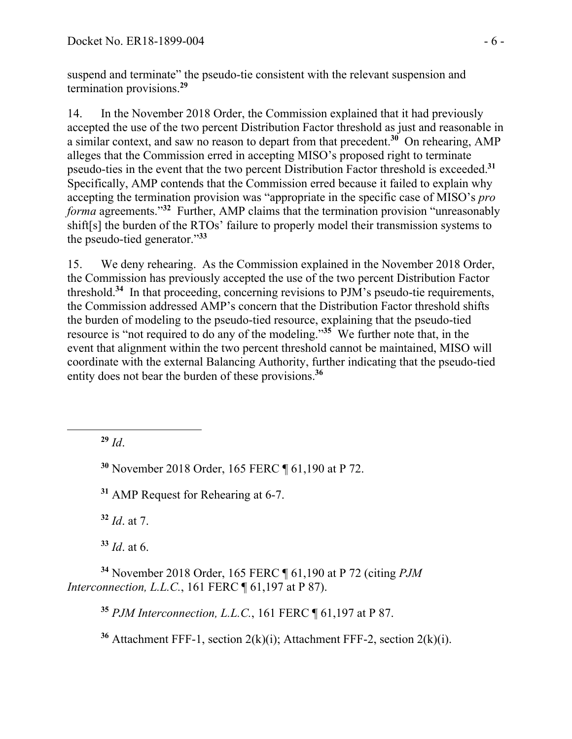suspend and terminate" the pseudo-tie consistent with the relevant suspension and termination provisions.**<sup>29</sup>**

14. In the November 2018 Order, the Commission explained that it had previously accepted the use of the two percent Distribution Factor threshold as just and reasonable in a similar context, and saw no reason to depart from that precedent.**<sup>30</sup>** On rehearing, AMP alleges that the Commission erred in accepting MISO's proposed right to terminate pseudo-ties in the event that the two percent Distribution Factor threshold is exceeded.**<sup>31</sup>** Specifically, AMP contends that the Commission erred because it failed to explain why accepting the termination provision was "appropriate in the specific case of MISO's *pro forma* agreements."**<sup>32</sup>** Further, AMP claims that the termination provision "unreasonably shift[s] the burden of the RTOs' failure to properly model their transmission systems to the pseudo-tied generator."**<sup>33</sup>**

15. We deny rehearing. As the Commission explained in the November 2018 Order, the Commission has previously accepted the use of the two percent Distribution Factor threshold.**<sup>34</sup>** In that proceeding, concerning revisions to PJM's pseudo-tie requirements, the Commission addressed AMP's concern that the Distribution Factor threshold shifts the burden of modeling to the pseudo-tied resource, explaining that the pseudo-tied resource is "not required to do any of the modeling."**<sup>35</sup>** We further note that, in the event that alignment within the two percent threshold cannot be maintained, MISO will coordinate with the external Balancing Authority, further indicating that the pseudo-tied entity does not bear the burden of these provisions.**<sup>36</sup>**

**<sup>29</sup>** *Id*.

 $\overline{a}$ 

**<sup>30</sup>** November 2018 Order, 165 FERC ¶ 61,190 at P 72.

**<sup>31</sup>** AMP Request for Rehearing at 6-7.

**<sup>32</sup>** *Id*. at 7.

**<sup>33</sup>** *Id*. at 6.

**<sup>34</sup>** November 2018 Order, 165 FERC ¶ 61,190 at P 72 (citing *PJM Interconnection, L.L.C.*, 161 FERC ¶ 61,197 at P 87).

**<sup>35</sup>** *PJM Interconnection, L.L.C.*, 161 FERC ¶ 61,197 at P 87.

**<sup>36</sup>** Attachment FFF-1, section 2(k)(i); Attachment FFF-2, section 2(k)(i).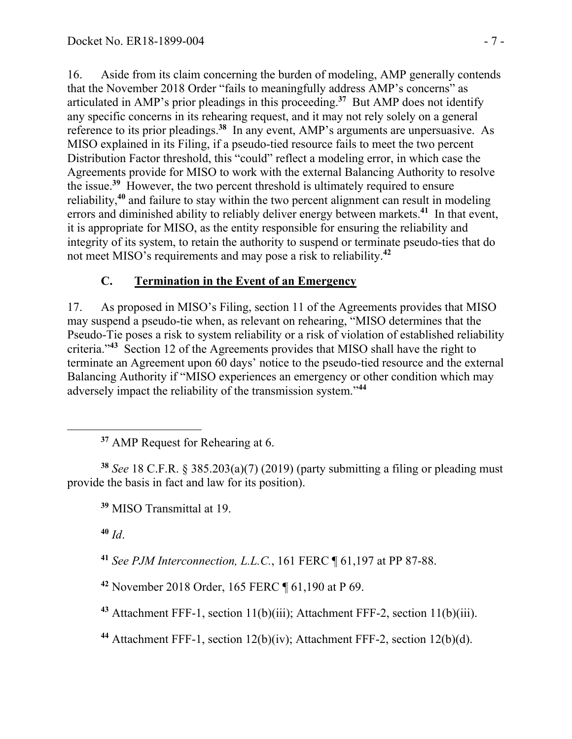16. Aside from its claim concerning the burden of modeling, AMP generally contends that the November 2018 Order "fails to meaningfully address AMP's concerns" as articulated in AMP's prior pleadings in this proceeding.**<sup>37</sup>** But AMP does not identify any specific concerns in its rehearing request, and it may not rely solely on a general reference to its prior pleadings.**<sup>38</sup>** In any event, AMP's arguments are unpersuasive. As MISO explained in its Filing, if a pseudo-tied resource fails to meet the two percent Distribution Factor threshold, this "could" reflect a modeling error, in which case the Agreements provide for MISO to work with the external Balancing Authority to resolve the issue.**<sup>39</sup>** However, the two percent threshold is ultimately required to ensure reliability,**<sup>40</sup>** and failure to stay within the two percent alignment can result in modeling errors and diminished ability to reliably deliver energy between markets.**<sup>41</sup>** In that event, it is appropriate for MISO, as the entity responsible for ensuring the reliability and integrity of its system, to retain the authority to suspend or terminate pseudo-ties that do not meet MISO's requirements and may pose a risk to reliability. **42**

## **C. Termination in the Event of an Emergency**

17. As proposed in MISO's Filing, section 11 of the Agreements provides that MISO may suspend a pseudo-tie when, as relevant on rehearing, "MISO determines that the Pseudo-Tie poses a risk to system reliability or a risk of violation of established reliability criteria."**<sup>43</sup>** Section 12 of the Agreements provides that MISO shall have the right to terminate an Agreement upon 60 days' notice to the pseudo-tied resource and the external Balancing Authority if "MISO experiences an emergency or other condition which may adversely impact the reliability of the transmission system."**<sup>44</sup>**

**<sup>38</sup>** *See* 18 C.F.R. § 385.203(a)(7) (2019) (party submitting a filing or pleading must provide the basis in fact and law for its position).

**<sup>39</sup>** MISO Transmittal at 19.

**<sup>40</sup>** *Id*.

**<sup>41</sup>** *See PJM Interconnection, L.L.C.*, 161 FERC ¶ 61,197 at PP 87-88.

**<sup>42</sup>** November 2018 Order, 165 FERC ¶ 61,190 at P 69.

**<sup>43</sup>** Attachment FFF-1, section 11(b)(iii); Attachment FFF-2, section 11(b)(iii).

**<sup>44</sup>** Attachment FFF-1, section 12(b)(iv); Attachment FFF-2, section 12(b)(d).

**<sup>37</sup>** AMP Request for Rehearing at 6.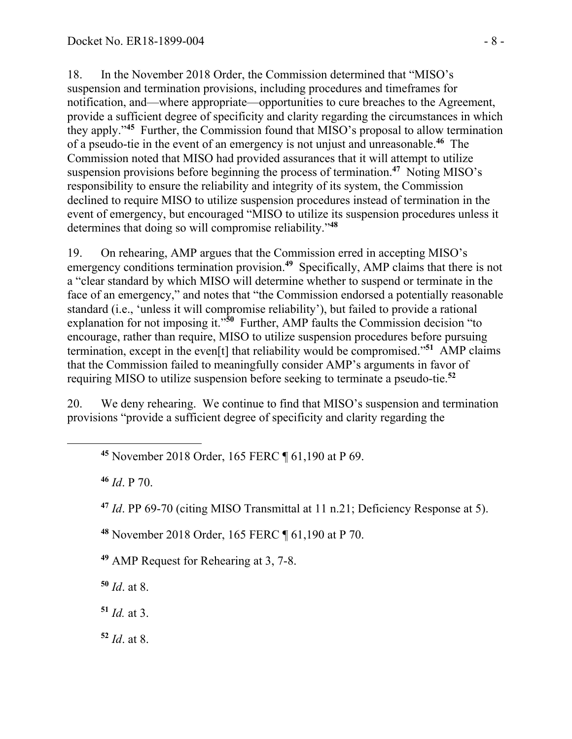18. In the November 2018 Order, the Commission determined that "MISO's suspension and termination provisions, including procedures and timeframes for notification, and—where appropriate—opportunities to cure breaches to the Agreement, provide a sufficient degree of specificity and clarity regarding the circumstances in which they apply."**<sup>45</sup>** Further, the Commission found that MISO's proposal to allow termination of a pseudo-tie in the event of an emergency is not unjust and unreasonable.**<sup>46</sup>** The Commission noted that MISO had provided assurances that it will attempt to utilize suspension provisions before beginning the process of termination.**<sup>47</sup>** Noting MISO's responsibility to ensure the reliability and integrity of its system, the Commission declined to require MISO to utilize suspension procedures instead of termination in the event of emergency, but encouraged "MISO to utilize its suspension procedures unless it determines that doing so will compromise reliability."**<sup>48</sup>**

19. On rehearing, AMP argues that the Commission erred in accepting MISO's emergency conditions termination provision.**<sup>49</sup>** Specifically, AMP claims that there is not a "clear standard by which MISO will determine whether to suspend or terminate in the face of an emergency," and notes that "the Commission endorsed a potentially reasonable standard (i.e., 'unless it will compromise reliability'), but failed to provide a rational explanation for not imposing it."**<sup>50</sup>** Further, AMP faults the Commission decision "to encourage, rather than require, MISO to utilize suspension procedures before pursuing termination, except in the even[t] that reliability would be compromised."**<sup>51</sup>** AMP claims that the Commission failed to meaningfully consider AMP's arguments in favor of requiring MISO to utilize suspension before seeking to terminate a pseudo-tie.**<sup>52</sup>**

20. We deny rehearing. We continue to find that MISO's suspension and termination provisions "provide a sufficient degree of specificity and clarity regarding the

**<sup>45</sup>** November 2018 Order, 165 FERC ¶ 61,190 at P 69.

**<sup>46</sup>** *Id*. P 70.

 $\overline{a}$ 

**<sup>47</sup>** *Id*. PP 69-70 (citing MISO Transmittal at 11 n.21; Deficiency Response at 5).

**<sup>48</sup>** November 2018 Order, 165 FERC ¶ 61,190 at P 70.

**<sup>49</sup>** AMP Request for Rehearing at 3, 7-8.

**<sup>50</sup>** *Id*. at 8.

**<sup>51</sup>** *Id.* at 3.

**<sup>52</sup>** *Id*. at 8.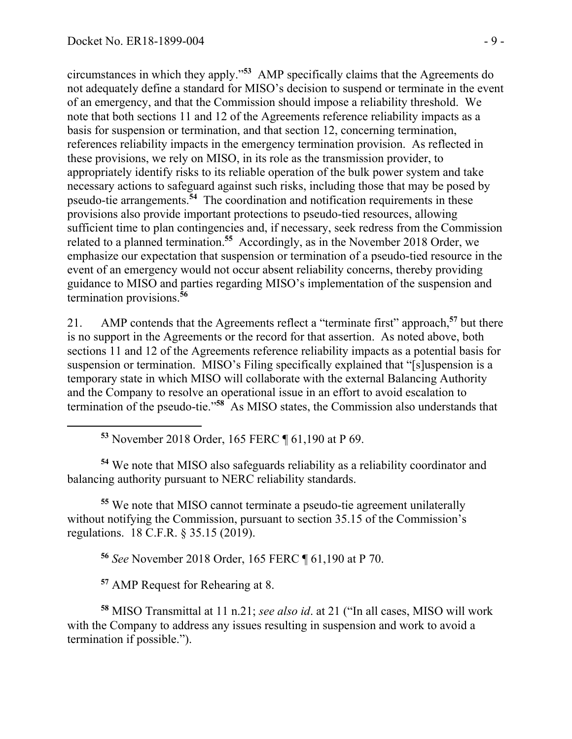$\overline{a}$ 

circumstances in which they apply."**<sup>53</sup>** AMP specifically claims that the Agreements do not adequately define a standard for MISO's decision to suspend or terminate in the event of an emergency, and that the Commission should impose a reliability threshold. We note that both sections 11 and 12 of the Agreements reference reliability impacts as a basis for suspension or termination, and that section 12, concerning termination, references reliability impacts in the emergency termination provision. As reflected in these provisions, we rely on MISO, in its role as the transmission provider, to appropriately identify risks to its reliable operation of the bulk power system and take necessary actions to safeguard against such risks, including those that may be posed by pseudo-tie arrangements.**<sup>54</sup>** The coordination and notification requirements in these provisions also provide important protections to pseudo-tied resources, allowing sufficient time to plan contingencies and, if necessary, seek redress from the Commission related to a planned termination.**<sup>55</sup>** Accordingly, as in the November 2018 Order, we emphasize our expectation that suspension or termination of a pseudo-tied resource in the event of an emergency would not occur absent reliability concerns, thereby providing guidance to MISO and parties regarding MISO's implementation of the suspension and termination provisions.**<sup>56</sup>**

21. AMP contends that the Agreements reflect a "terminate first" approach,**<sup>57</sup>** but there is no support in the Agreements or the record for that assertion. As noted above, both sections 11 and 12 of the Agreements reference reliability impacts as a potential basis for suspension or termination. MISO's Filing specifically explained that "[s]uspension is a temporary state in which MISO will collaborate with the external Balancing Authority and the Company to resolve an operational issue in an effort to avoid escalation to termination of the pseudo-tie."<sup>58</sup> As MISO states, the Commission also understands that

**<sup>53</sup>** November 2018 Order, 165 FERC ¶ 61,190 at P 69.

**<sup>54</sup>** We note that MISO also safeguards reliability as a reliability coordinator and balancing authority pursuant to NERC reliability standards.

**<sup>55</sup>** We note that MISO cannot terminate a pseudo-tie agreement unilaterally without notifying the Commission, pursuant to section 35.15 of the Commission's regulations. 18 C.F.R. § 35.15 (2019).

**<sup>56</sup>** *See* November 2018 Order, 165 FERC ¶ 61,190 at P 70.

**<sup>57</sup>** AMP Request for Rehearing at 8.

**<sup>58</sup>** MISO Transmittal at 11 n.21; *see also id*. at 21 ("In all cases, MISO will work with the Company to address any issues resulting in suspension and work to avoid a termination if possible.").